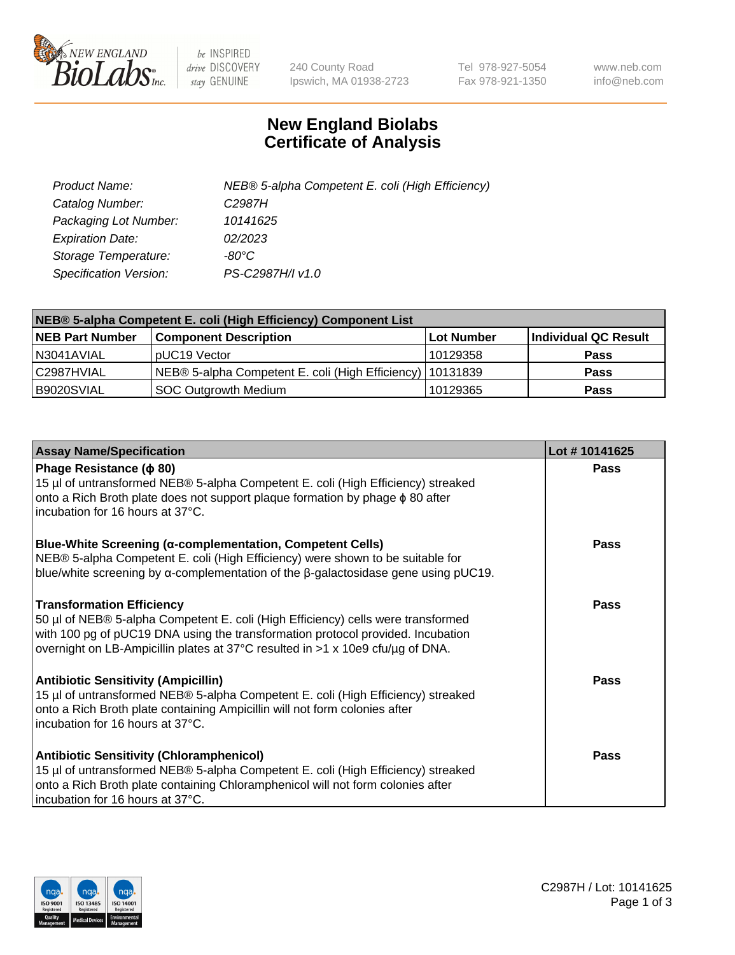

 $be$  INSPIRED drive DISCOVERY stay GENUINE

240 County Road Ipswich, MA 01938-2723 Tel 978-927-5054 Fax 978-921-1350 www.neb.com info@neb.com

## **New England Biolabs Certificate of Analysis**

| Product Name:           | NEB® 5-alpha Competent E. coli (High Efficiency) |
|-------------------------|--------------------------------------------------|
| Catalog Number:         | C <sub>2987</sub> H                              |
| Packaging Lot Number:   | 10141625                                         |
| <b>Expiration Date:</b> | 02/2023                                          |
| Storage Temperature:    | -80°C                                            |
| Specification Version:  | PS-C2987H/I v1.0                                 |

| NEB® 5-alpha Competent E. coli (High Efficiency) Component List |                                                             |                   |                      |  |
|-----------------------------------------------------------------|-------------------------------------------------------------|-------------------|----------------------|--|
| <b>NEB Part Number</b>                                          | <b>Component Description</b>                                | <b>Lot Number</b> | Individual QC Result |  |
| N3041AVIAL                                                      | pUC19 Vector                                                | 10129358          | <b>Pass</b>          |  |
| C2987HVIAL                                                      | NEB® 5-alpha Competent E. coli (High Efficiency)   10131839 |                   | <b>Pass</b>          |  |
| B9020SVIAL                                                      | <b>SOC Outgrowth Medium</b>                                 | 10129365          | <b>Pass</b>          |  |

| <b>Assay Name/Specification</b>                                                                                                                                                                                                                                                           | Lot #10141625 |
|-------------------------------------------------------------------------------------------------------------------------------------------------------------------------------------------------------------------------------------------------------------------------------------------|---------------|
| Phage Resistance ( $\phi$ 80)<br>15 µl of untransformed NEB® 5-alpha Competent E. coli (High Efficiency) streaked<br>onto a Rich Broth plate does not support plaque formation by phage φ 80 after<br>incubation for 16 hours at 37°C.                                                    | Pass          |
| <b>Blue-White Screening (α-complementation, Competent Cells)</b><br>NEB® 5-alpha Competent E. coli (High Efficiency) were shown to be suitable for<br>blue/white screening by $\alpha$ -complementation of the $\beta$ -galactosidase gene using pUC19.                                   | Pass          |
| <b>Transformation Efficiency</b><br>50 µl of NEB® 5-alpha Competent E. coli (High Efficiency) cells were transformed<br>with 100 pg of pUC19 DNA using the transformation protocol provided. Incubation<br>overnight on LB-Ampicillin plates at 37°C resulted in >1 x 10e9 cfu/µg of DNA. | Pass          |
| <b>Antibiotic Sensitivity (Ampicillin)</b><br>15 µl of untransformed NEB® 5-alpha Competent E. coli (High Efficiency) streaked<br>onto a Rich Broth plate containing Ampicillin will not form colonies after<br>incubation for 16 hours at 37°C.                                          | Pass          |
| <b>Antibiotic Sensitivity (Chloramphenicol)</b><br>15 µl of untransformed NEB® 5-alpha Competent E. coli (High Efficiency) streaked<br>onto a Rich Broth plate containing Chloramphenicol will not form colonies after<br>incubation for 16 hours at 37°C.                                | Pass          |

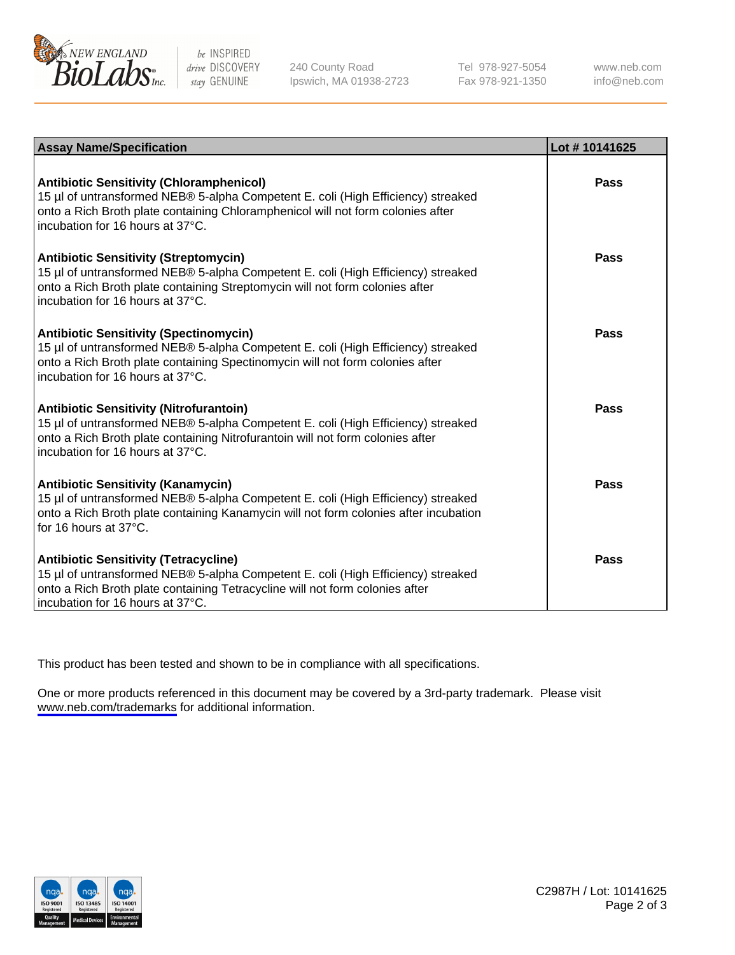

be INSPIRED drive DISCOVERY stay GENUINE

240 County Road Ipswich, MA 01938-2723 Tel 978-927-5054 Fax 978-921-1350

www.neb.com info@neb.com

| <b>Assay Name/Specification</b>                                                                                                                                                                                                                            | Lot #10141625 |
|------------------------------------------------------------------------------------------------------------------------------------------------------------------------------------------------------------------------------------------------------------|---------------|
| <b>Antibiotic Sensitivity (Chloramphenicol)</b><br>15 µl of untransformed NEB® 5-alpha Competent E. coli (High Efficiency) streaked<br>onto a Rich Broth plate containing Chloramphenicol will not form colonies after<br>incubation for 16 hours at 37°C. | Pass          |
| <b>Antibiotic Sensitivity (Streptomycin)</b><br>15 µl of untransformed NEB® 5-alpha Competent E. coli (High Efficiency) streaked<br>onto a Rich Broth plate containing Streptomycin will not form colonies after<br>incubation for 16 hours at 37°C.       | Pass          |
| <b>Antibiotic Sensitivity (Spectinomycin)</b><br>15 µl of untransformed NEB® 5-alpha Competent E. coli (High Efficiency) streaked<br>onto a Rich Broth plate containing Spectinomycin will not form colonies after<br>incubation for 16 hours at 37°C.     | Pass          |
| <b>Antibiotic Sensitivity (Nitrofurantoin)</b><br>15 µl of untransformed NEB® 5-alpha Competent E. coli (High Efficiency) streaked<br>onto a Rich Broth plate containing Nitrofurantoin will not form colonies after<br>incubation for 16 hours at 37°C.   | <b>Pass</b>   |
| <b>Antibiotic Sensitivity (Kanamycin)</b><br>15 µl of untransformed NEB® 5-alpha Competent E. coli (High Efficiency) streaked<br>onto a Rich Broth plate containing Kanamycin will not form colonies after incubation<br>for 16 hours at $37^{\circ}$ C.   | Pass          |
| <b>Antibiotic Sensitivity (Tetracycline)</b><br>15 µl of untransformed NEB® 5-alpha Competent E. coli (High Efficiency) streaked<br>onto a Rich Broth plate containing Tetracycline will not form colonies after<br>incubation for 16 hours at 37°C.       | Pass          |

This product has been tested and shown to be in compliance with all specifications.

One or more products referenced in this document may be covered by a 3rd-party trademark. Please visit <www.neb.com/trademarks>for additional information.